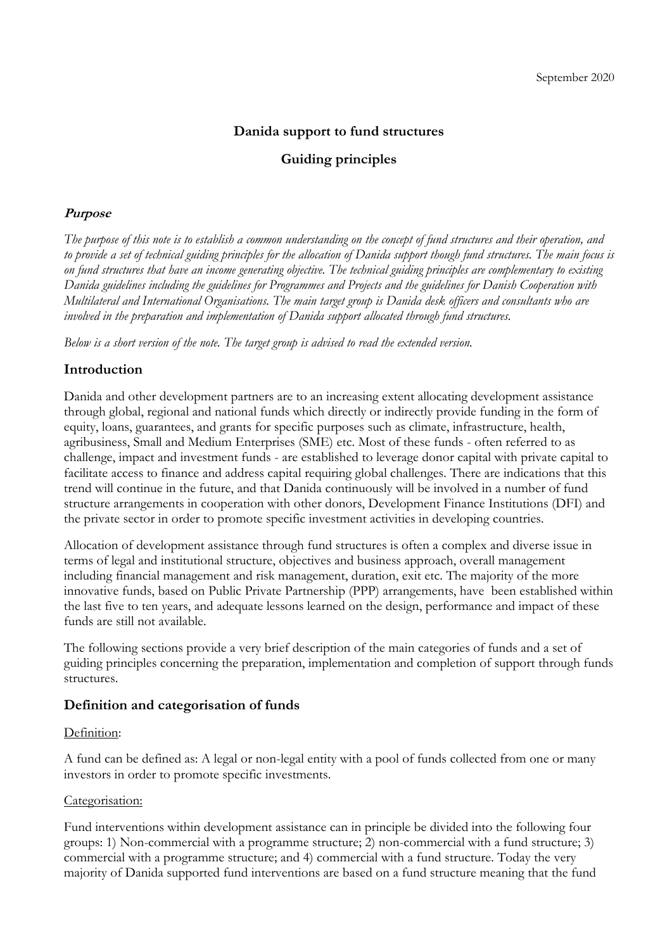## **Danida support to fund structures**

## **Guiding principles**

### **Purpose**

*The purpose of this note is to establish a common understanding on the concept of fund structures and their operation, and to provide a set of technical guiding principles for the allocation of Danida support though fund structures. The main focus is on fund structures that have an income generating objective. The technical guiding principles are complementary to existing Danida guidelines including the guidelines for Programmes and Projects and the guidelines for Danish Cooperation with Multilateral and International Organisations. The main target group is Danida desk officers and consultants who are involved in the preparation and implementation of Danida support allocated through fund structures.*

*Below is a short version of the note. The target group is advised to read the extended version.*

## **Introduction**

Danida and other development partners are to an increasing extent allocating development assistance through global, regional and national funds which directly or indirectly provide funding in the form of equity, loans, guarantees, and grants for specific purposes such as climate, infrastructure, health, agribusiness, Small and Medium Enterprises (SME) etc. Most of these funds - often referred to as challenge, impact and investment funds - are established to leverage donor capital with private capital to facilitate access to finance and address capital requiring global challenges. There are indications that this trend will continue in the future, and that Danida continuously will be involved in a number of fund structure arrangements in cooperation with other donors, Development Finance Institutions (DFI) and the private sector in order to promote specific investment activities in developing countries.

Allocation of development assistance through fund structures is often a complex and diverse issue in terms of legal and institutional structure, objectives and business approach, overall management including financial management and risk management, duration, exit etc. The majority of the more innovative funds, based on Public Private Partnership (PPP) arrangements, have been established within the last five to ten years, and adequate lessons learned on the design, performance and impact of these funds are still not available.

The following sections provide a very brief description of the main categories of funds and a set of guiding principles concerning the preparation, implementation and completion of support through funds structures.

#### **Definition and categorisation of funds**

#### Definition:

A fund can be defined as: A legal or non-legal entity with a pool of funds collected from one or many investors in order to promote specific investments.

#### Categorisation:

Fund interventions within development assistance can in principle be divided into the following four groups: 1) Non-commercial with a programme structure; 2) non-commercial with a fund structure; 3) commercial with a programme structure; and 4) commercial with a fund structure. Today the very majority of Danida supported fund interventions are based on a fund structure meaning that the fund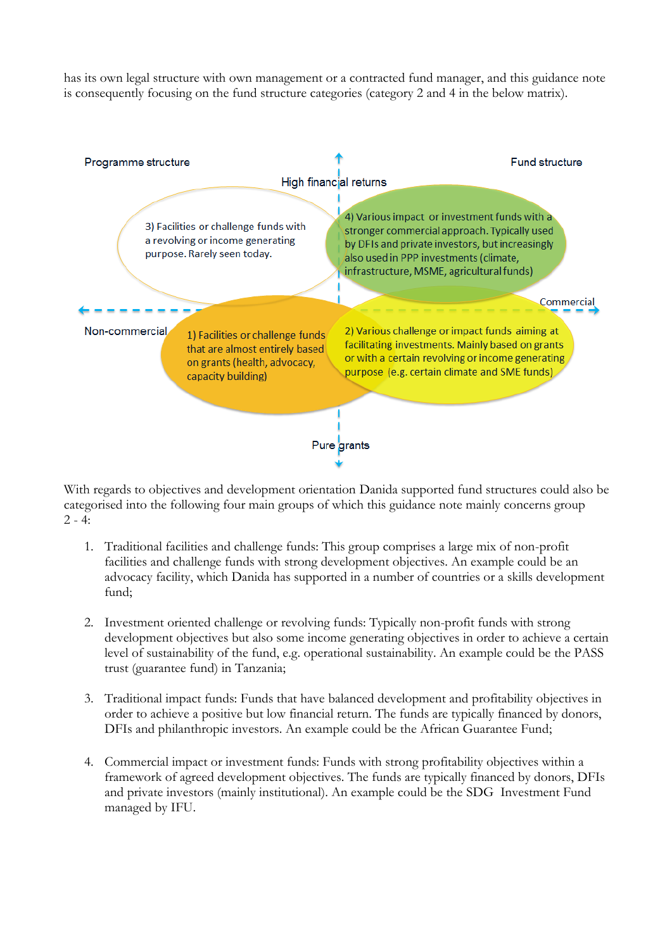has its own legal structure with own management or a contracted fund manager, and this guidance note is consequently focusing on the fund structure categories (category 2 and 4 in the below matrix).



With regards to objectives and development orientation Danida supported fund structures could also be categorised into the following four main groups of which this guidance note mainly concerns group  $2 - 4:$ 

- 1. Traditional facilities and challenge funds: This group comprises a large mix of non-profit facilities and challenge funds with strong development objectives. An example could be an advocacy facility, which Danida has supported in a number of countries or a skills development fund;
- 2. Investment oriented challenge or revolving funds: Typically non-profit funds with strong development objectives but also some income generating objectives in order to achieve a certain level of sustainability of the fund, e.g. operational sustainability. An example could be the PASS trust (guarantee fund) in Tanzania;
- 3. Traditional impact funds: Funds that have balanced development and profitability objectives in order to achieve a positive but low financial return. The funds are typically financed by donors, DFIs and philanthropic investors. An example could be the African Guarantee Fund;
- 4. Commercial impact or investment funds: Funds with strong profitability objectives within a framework of agreed development objectives. The funds are typically financed by donors, DFIs and private investors (mainly institutional). An example could be the SDG Investment Fund managed by IFU.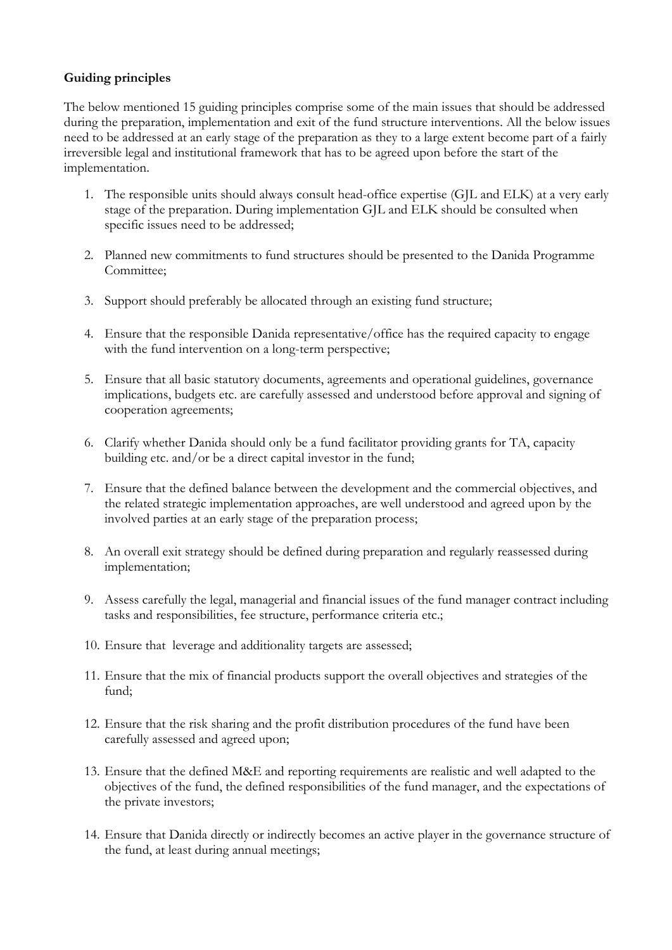## **Guiding principles**

The below mentioned 15 guiding principles comprise some of the main issues that should be addressed during the preparation, implementation and exit of the fund structure interventions. All the below issues need to be addressed at an early stage of the preparation as they to a large extent become part of a fairly irreversible legal and institutional framework that has to be agreed upon before the start of the implementation.

- 1. The responsible units should always consult head-office expertise (GJL and ELK) at a very early stage of the preparation. During implementation GJL and ELK should be consulted when specific issues need to be addressed;
- 2. Planned new commitments to fund structures should be presented to the Danida Programme Committee;
- 3. Support should preferably be allocated through an existing fund structure;
- 4. Ensure that the responsible Danida representative/office has the required capacity to engage with the fund intervention on a long-term perspective;
- 5. Ensure that all basic statutory documents, agreements and operational guidelines, governance implications, budgets etc. are carefully assessed and understood before approval and signing of cooperation agreements;
- 6. Clarify whether Danida should only be a fund facilitator providing grants for TA, capacity building etc. and/or be a direct capital investor in the fund;
- 7. Ensure that the defined balance between the development and the commercial objectives, and the related strategic implementation approaches, are well understood and agreed upon by the involved parties at an early stage of the preparation process;
- 8. An overall exit strategy should be defined during preparation and regularly reassessed during implementation;
- 9. Assess carefully the legal, managerial and financial issues of the fund manager contract including tasks and responsibilities, fee structure, performance criteria etc.;
- 10. Ensure that leverage and additionality targets are assessed;
- 11. Ensure that the mix of financial products support the overall objectives and strategies of the fund;
- 12. Ensure that the risk sharing and the profit distribution procedures of the fund have been carefully assessed and agreed upon;
- 13. Ensure that the defined M&E and reporting requirements are realistic and well adapted to the objectives of the fund, the defined responsibilities of the fund manager, and the expectations of the private investors;
- 14. Ensure that Danida directly or indirectly becomes an active player in the governance structure of the fund, at least during annual meetings;